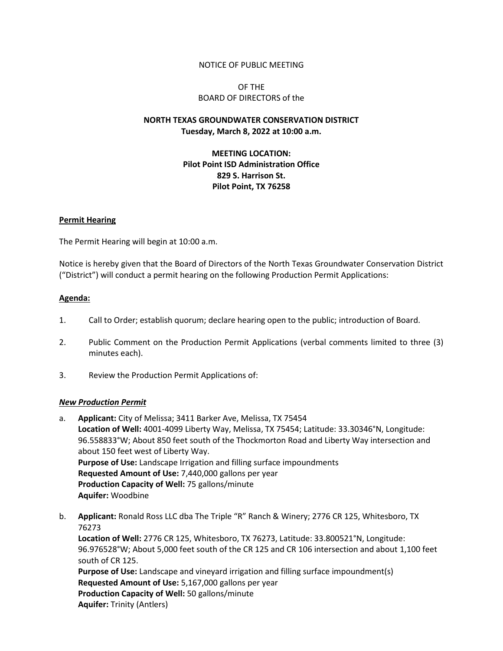### NOTICE OF PUBLIC MEETING

## OF THE BOARD OF DIRECTORS of the

# **NORTH TEXAS GROUNDWATER CONSERVATION DISTRICT Tuesday, March 8, 2022 at 10:00 a.m.**

## **MEETING LOCATION: Pilot Point ISD Administration Office 829 S. Harrison St. Pilot Point, TX 76258**

### **Permit Hearing**

The Permit Hearing will begin at 10:00 a.m.

Notice is hereby given that the Board of Directors of the North Texas Groundwater Conservation District ("District") will conduct a permit hearing on the following Production Permit Applications:

### **Agenda:**

- 1. Call to Order; establish quorum; declare hearing open to the public; introduction of Board.
- 2. Public Comment on the Production Permit Applications (verbal comments limited to three (3) minutes each).
- 3. Review the Production Permit Applications of:

#### *New Production Permit*

- a. **Applicant:** City of Melissa; 3411 Barker Ave, Melissa, TX 75454 **Location of Well:** 4001-4099 Liberty Way, Melissa, TX 75454; Latitude: 33.30346°N, Longitude: 96.558833°W; About 850 feet south of the Thockmorton Road and Liberty Way intersection and about 150 feet west of Liberty Way. **Purpose of Use:** Landscape Irrigation and filling surface impoundments **Requested Amount of Use:** 7,440,000 gallons per year **Production Capacity of Well:** 75 gallons/minute **Aquifer:** Woodbine
- b. **Applicant:** Ronald Ross LLC dba The Triple "R" Ranch & Winery; 2776 CR 125, Whitesboro, TX 76273 **Location of Well:** 2776 CR 125, Whitesboro, TX 76273, Latitude: 33.800521°N, Longitude: 96.976528°W; About 5,000 feet south of the CR 125 and CR 106 intersection and about 1,100 feet south of CR 125. **Purpose of Use:** Landscape and vineyard irrigation and filling surface impoundment(s) **Requested Amount of Use:** 5,167,000 gallons per year **Production Capacity of Well:** 50 gallons/minute **Aquifer:** Trinity (Antlers)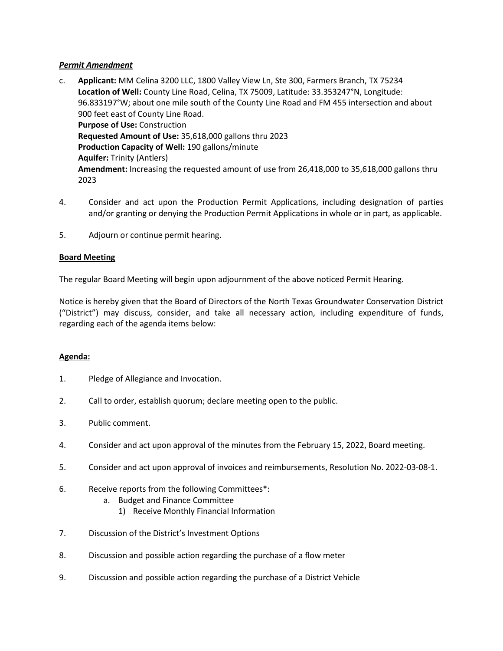## *Permit Amendment*

- c. **Applicant:** MM Celina 3200 LLC, 1800 Valley View Ln, Ste 300, Farmers Branch, TX 75234 **Location of Well:** County Line Road, Celina, TX 75009, Latitude: 33.353247°N, Longitude: 96.833197°W; about one mile south of the County Line Road and FM 455 intersection and about 900 feet east of County Line Road. **Purpose of Use:** Construction **Requested Amount of Use:** 35,618,000 gallons thru 2023 **Production Capacity of Well:** 190 gallons/minute **Aquifer:** Trinity (Antlers) **Amendment:** Increasing the requested amount of use from 26,418,000 to 35,618,000 gallons thru 2023
- 4. Consider and act upon the Production Permit Applications, including designation of parties and/or granting or denying the Production Permit Applications in whole or in part, as applicable.
- 5. Adjourn or continue permit hearing.

# **Board Meeting**

The regular Board Meeting will begin upon adjournment of the above noticed Permit Hearing.

Notice is hereby given that the Board of Directors of the North Texas Groundwater Conservation District ("District") may discuss, consider, and take all necessary action, including expenditure of funds, regarding each of the agenda items below:

## **Agenda:**

- 1. Pledge of Allegiance and Invocation.
- 2. Call to order, establish quorum; declare meeting open to the public.
- 3. Public comment.
- 4. Consider and act upon approval of the minutes from the February 15, 2022, Board meeting.
- 5. Consider and act upon approval of invoices and reimbursements, Resolution No. 2022-03-08-1.
- 6. Receive reports from the following Committees\*:
	- a. Budget and Finance Committee
		- 1) Receive Monthly Financial Information
- 7. Discussion of the District's Investment Options
- 8. Discussion and possible action regarding the purchase of a flow meter
- 9. Discussion and possible action regarding the purchase of a District Vehicle